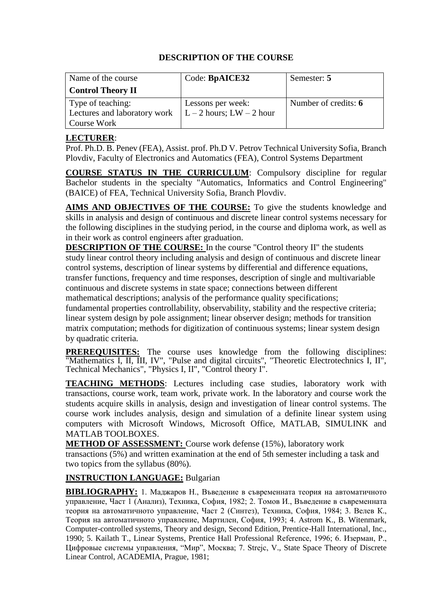| Name of the course           | Code: BpAICE32               | Semester: 5          |
|------------------------------|------------------------------|----------------------|
| <b>Control Theory II</b>     |                              |                      |
| Type of teaching:            | Lessons per week:            | Number of credits: 6 |
| Lectures and laboratory work | $L - 2$ hours; LW $- 2$ hour |                      |
| Course Work                  |                              |                      |

#### **[LECTURER](mailto:r.mishkov@gmail.com)**:

Prof. Ph.D. B. Penev (FEA), Assist. prof. Ph.D V. Petrov Technical University Sofia, Branch Plovdiv, Faculty of Electronics and Automatics (FEA), Control Systems Department

**COURSE STATUS IN THE CURRICULUM**: Compulsory discipline for regular Bachelor students in the specialty "Automatics, Informatics and Control Engineering" (BAICE) of FEA, Technical University Sofia, Branch Plovdiv.

**AIMS AND OBJECTIVES OF THE COURSE:** To give the students knowledge and skills in analysis and design of continuous and discrete linear control systems necessary for the following disciplines in the studying period, in the course and diploma work, as well as in their work as control engineers after graduation.

**DESCRIPTION OF THE COURSE:** In the course "Control theory II" the students study linear control theory including analysis and design of continuous and discrete linear control systems, description of linear systems by differential and difference equations, transfer functions, frequency and time responses, description of single and multivariable continuous and discrete systems in state space; connections between different mathematical descriptions; analysis of the performance quality specifications; fundamental properties controllability, observability, stability and the respective criteria; linear system design by pole assignment; linear observer design; methods for transition matrix computation; methods for digitization of continuous systems; linear system design by quadratic criteria.

**PREREQUISITES:** The course uses knowledge from the following disciplines: "Mathematics I, II, III, IV", "Pulse and digital circuits", "Theoretic Electrotechnics I, II", Technical Mechanics", "Physics I, II", "Control theory I".

**TEACHING METHODS**: Lectures including case studies, laboratory work with transactions, course work, team work, private work. In the laboratory and course work the students acquire skills in analysis, design and investigation of linear control systems. The course work includes analysis, design and simulation of a definite linear system using computers with Microsoft Windows, Microsoft Office, MATLAB, SIMULINK and MATLAB TOOLBOXES.

**METHOD OF ASSESSMENT:** Course work defense (15%), laboratory work transactions (5%) and written examination at the end of 5th semester including a task and two topics from the syllabus (80%).

## **INSTRUCTION LANGUAGE:** Bulgarian

**BIBLIOGRAPHY:** 1. Маджаров Н., Въведение в съвременната теория на автоматичното управление, Част 1 (Анализ), Техника, София, 1982; 2. Томов И., Въведение в съвременната теория на автоматичното управление, Част 2 (Синтез), Техника, София, 1984; 3. Велев К., Теория на автоматичното управление, Мартилен, София, 1993; 4. Astrom K., B. Witenmark, Computer-controlled systems, Theory and design, Second Edition, Prentice-Hall International, Inc., 1990; 5. Kailath T., Linear Systems, Prentice Hall Professional Reference, 1996; 6. Изерман, Р., Цифровые системы управления, "Мир", Москва; 7. Strejc, V., State Space Theory of Discrete Linear Control, ACADEMIA, Prague, 1981;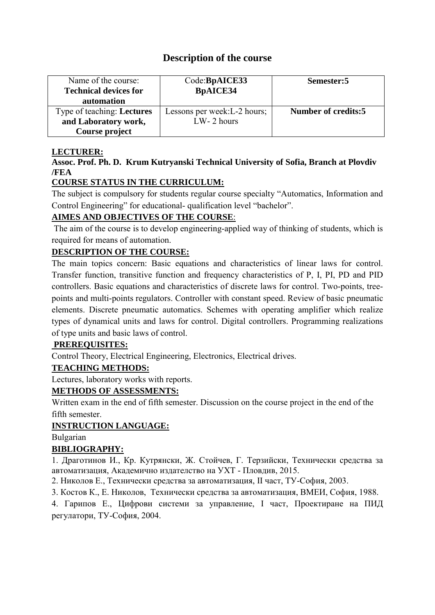# **Description of the course**

| Name of the course:<br><b>Technical devices for</b><br><b>automation</b> | Code:BpAICE33<br><b>BpAICE34</b> | Semester:5          |
|--------------------------------------------------------------------------|----------------------------------|---------------------|
| Type of teaching: Lectures                                               | Lessons per week: L-2 hours;     | Number of credits:5 |
| and Laboratory work,                                                     | $LW-2$ hours                     |                     |
| Course project                                                           |                                  |                     |

#### **LECTURER:**

## **Assoc. Prof. Ph. D. Krum Kutryanski Technical University of Sofia, Branch at Plovdiv /FEA**

## **COURSE STATUS IN THE CURRICULUM:**

The subject is compulsory for students regular course specialty "Automatics, Information and Control Engineering" for educational- qualification level "bachelor".

## **AIMES AND OBJECTIVES OF THE COURSE**:

The aim of the course is to develop engineering-applied way of thinking of students, which is required for means of automation.

## **DESCRIPTION OF THE COURSE:**

The main topics concern: Basic equations and characteristics of linear laws for control. Transfer function, transitive function and frequency characteristics of P, I, PI, PD and PID controllers. Basic equations and characteristics of discrete laws for control. Two-points, treepoints and multi-points regulators. Controller with constant speed. Review of basic pneumatic elements. Discrete pneumatic automatics. Schemes with operating amplifier which realize types of dynamical units and laws for control. Digital controllers. Programming realizations of type units and basic laws of control.

#### **PREREQUISITES:**

Control Theory, Electrical Engineering, Electronics, Electrical drives.

## **TEACHING METHODS:**

Lectures, laboratory works with reports.

## **METHODS OF ASSESSMENTS:**

Written exam in the end of fifth semester. Discussion on the course project in the end of the fifth semester.

## **INSTRUCTION LANGUAGE:**

Bulgarian

## **BIBLIOGRAPHY:**

1. Драготинов И., Кр. Кутрянски, Ж. Стойчев, Г. Терзийски, Технически средства за автоматизация, Академично издателство на УХТ - Пловдив, 2015.

2. Николов Е., Технически средства за автоматизация, ІІ част, ТУ-София, 2003.

3. Костов К., Е. Николов, Технически средства за автоматизация, ВМЕИ, София, 1988.

4. Гарипов Е., Цифрови системи за управление, І част, Проектиране на ПИД регулатори, ТУ-София, 2004.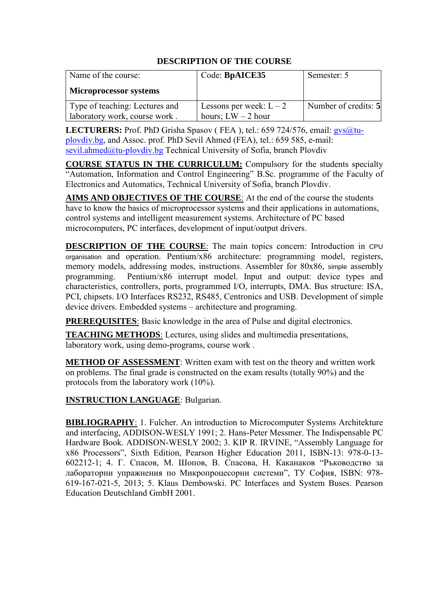| Name of the course:                                             | Code: BpAICE35                                  | Semester: 5          |
|-----------------------------------------------------------------|-------------------------------------------------|----------------------|
| <b>Microprocessor systems</b>                                   |                                                 |                      |
| Type of teaching: Lectures and<br>laboratory work, course work. | Lessons per week: $L-2$<br>hours; $LW - 2$ hour | Number of credits: 5 |

LECTURERS: Prof. PhD Grisha Spasov (FEA), tel.: 659 724/576, email: gys@tu[plovdiv.bg,](mailto:gvs@tu-plovdiv.bg) and Assoc. prof. PhD Sevil Ahmed (FEA), tel.: 659 585, e-mail: [sevil.ahmed@tu-plovdiv.bg](mailto:sevil.ahmed@tu-plovdiv.bg) Technical University of Sofia, branch Plovdiv

**COURSE STATUS IN THE CURRICULUM:** Compulsory for the students specialty "Automation, Information and Control Engineering" B.Sc. programme of the Faculty of Electronics and Automatics, Technical University of Sofia, branch Plovdiv.

**AIMS AND OBJECTIVES OF THE COURSE**: At the end of the course the students have to know the basics of microprocessor systems and their applications in automations, control systems and intelligent measurement systems. Architecture of PC based microcomputers, PC interfaces, development of input/output drivers.

**DESCRIPTION OF THE COURSE**: The main topics concern: Introduction in CPU organisation and operation. Pentium/x86 architecture: programming model, registers, memory models, addressing modes, instructions. Assembler for 80x86, simple assembly<br>programming. Pentium/x86 interrupt model. Input and output: device types and Pentium/x86 interrupt model. Input and output: device types and characteristics, controllers, ports, programmed I/O, interrupts, DMA. Bus structure: ISA, PCI, chipsets. I/O Interfaces RS232, RS485, Centronics and USB. Development of simple device drivers. Embedded systems – architecture and programing.

**PREREQUISITES**: Basic knowledge in the area of Pulse and digital electronics.

**TEACHING METHODS**: Lectures, using slides and multimedia presentations, laboratory work, using demo-programs, course work .

**METHOD OF ASSESSMENT**: Written exam with test on the theory and written work on problems. The final grade is constructed on the exam results (totally 90%) and the protocols from the laboratory work (10%).

**INSTRUCTION LANGUAGE**: Bulgarian.

**BIBLIOGRAPHY**: 1. Fulcher. An introduction to Microcomputer Systems Architekture and interfacing, ADDISON-WESLY 1991; 2. Hans-Peter Messmer. The Indispensable PC Hardware Book. ADDISON-WESLY 2002; 3. KIP R. IRVINE, "Assembly Language for x86 Processors", Sixth Edition, Pearson Higher Education 2011, ISBN-13: 978-0-13- 602212-1; 4. Г. Спасов, М. Шопов, В. Спасова, Н. Каканаков "Ръководство за лабораторни упражнения по Микропроцесорни системи", ТУ София, ISBN: 978- 619-167-021-5, 2013; 5. Klaus Dembowski. PC Interfaces and System Buses. Pearson Education Deutschland GmbH 2001.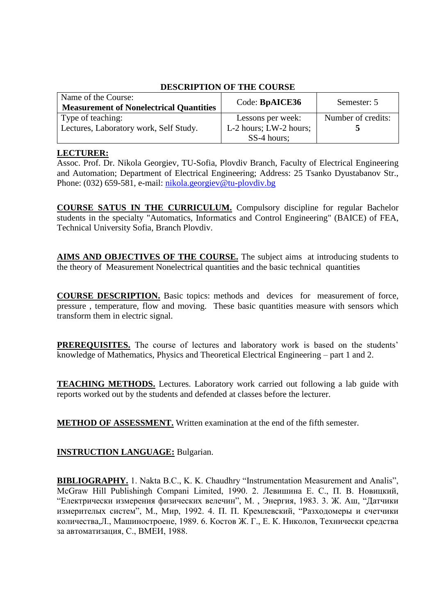| Name of the Course:<br><b>Measurement of Nonelectrical Quantities</b> | Code: BpAICE36         | Semester: 5        |
|-----------------------------------------------------------------------|------------------------|--------------------|
| Type of teaching:                                                     | Lessons per week:      | Number of credits: |
| Lectures, Laboratory work, Self Study.                                | L-2 hours; LW-2 hours; |                    |
|                                                                       | SS-4 hours;            |                    |

#### **LECTURER:**

Asso[c. Prof. Dr. Nikola Ge](mailto:vitlarov@tu-plovdiv.bg)orgiev, TU-Sofia, Plovdiv Branch, Faculty of Electrical Engineering and Automation; Department of Electrical Engineering; Address: 25 Tsanko Dyustabanov Str., Phone: (032) 659-581, e-mail: nikola.georgiev@tu-plovdiv.bg

**COURSE SATUS IN THE CURRICULUM.** Compulsory discipline for regular Bachelor students in the specialty "Automatics, Informatics and Control Engineering" (BAICE) of FEA, Technical University Sofia, Branch Plovdiv.

**AIMS AND OBJECTIVES OF THE COURSE.** The subject aims at introducing students to the theory of Measurement Nonelectrical quantities and the basic technical quantities

**COURSE DESCRIPTION.** Basic topics: methods and devicesfor measurement of force, pressure , temperature, flow and moving. These basic quantities measure with sensors which transform them in electric signal.

**PREREQUISITES.** The course of lectures and laboratory work is based on the students' knowledge of Mathematics, Physics and Theoretical Electrical Engineering – part 1 and 2.

**TEACHING METHODS.** Lectures. Laboratory work carried out following a lab guide with reports worked out by the students and defended at classes before the lecturer.

**METHOD OF ASSESSMENT.** Written examination at the end of the fifth semester.

## **INSTRUCTION LANGUAGE:** Bulgarian.

**BIBLIOGRAPHY.** 1. Nakta B.C., K. K. Chaudhry "Instrumentation Measurement and Analis", McGraw Hill Publishingh Compani Limited, 1990. 2. Левишина Е. С., П. В. Новицкий, "Електрически измерения физических велечин", М. , Энергия, 1983. 3. Ж. Аш, "Датчики измерителых систем", М., Мир, 1992. 4. П. П. Кремлевский, "Разходомеры и счетчики количества,Л., Машиностроене, 1989. 6. Костов Ж. Г., Е. К. Николов, Технически средства за автоматизация, С., ВМЕИ, 1988.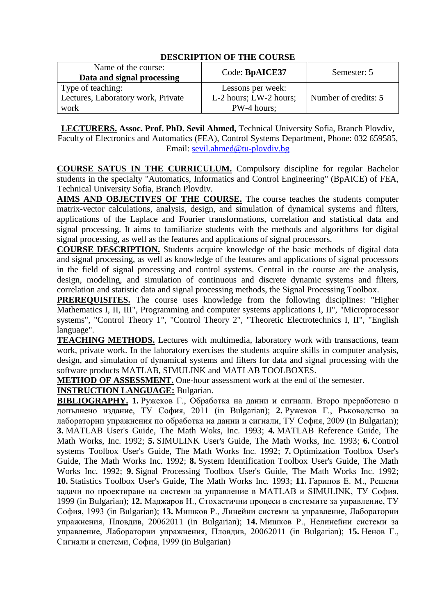| Name of the course:<br>Data and signal processing | Code: BpAICE37         | Semester: 5          |
|---------------------------------------------------|------------------------|----------------------|
| Type of teaching:                                 | Lessons per week:      |                      |
| Lectures, Laboratory work, Private                | L-2 hours; LW-2 hours; | Number of credits: 5 |
| work                                              | PW-4 hours;            |                      |

**LECTURERS. Assoc. Prof. PhD. Sevil Ahmed,** Technical University Sofia, Branch Plovdiv, Faculty of Electronics and [Automatics \(FEA\), Control](mailto:r.mishkov@tu-plovdiv.bg) Systems Department, Phone: 032 659585, Email: sevil.ahmed@tu-plovdiv.bg

**COURSE SATUS IN THE CURRICULUM.** Compulsory discipline for regular Bachelor students in the specialty "Automatics, Informatics and Control Engineering" (BpAICE) of FEA, Technical University Sofia, Branch Plovdiv.

**AIMS AND OBJECTIVES OF THE COURSE.** The course teaches the students computer matrix-vector calculations, analysis, design, and simulation of dynamical systems and filters, applications of the Laplace and Fourier transformations, correlation and statistical data and signal processing. It aims to familiarize students with the methods and algorithms for digital signal processing, as well as the features and applications of signal processors.

**COURSE DESCRIPTION.** Students acquire knowledge of the basic methods of digital data and signal processing, as well as knowledge of the features and applications of signal processors in the field of signal processing and control systems. Central in the course are the analysis, design, modeling, and simulation of continuous and discrete dynamic systems and filters, correlation and statistic data and signal processing methods, the Signal Processing Toolbox.

**PREREQUISITES.** The course uses knowledge from the following disciplines: "Higher Mathematics I, II, III", Programming and computer systems applications I, II", "Microprocessor systems", "Control Theory 1", "Control Theory 2", "Theoretic Electrotechnics I, II", "English language".

**TEACHING METHODS.** Lectures with multimedia, laboratory work with transactions, team work, private work. In the laboratory exercises the students acquire skills in computer analysis, design, and simulation of dynamical systems and filters for data and signal processing with the software products MATLAB, SIMULINK and MATLAB TOOLBOXES.

**METHOD OF ASSESSMENT.** One-hour assessment work at the end of the semester.

## **INSTRUCTION LANGUAGE:** Bulgarian.

**BIBLIOGRAPHY. 1.** Ружеков Г., Обработка на данни и сигнали. Второ преработено и допълнено издание, ТУ София, 2011 (in Bulgarian); **2.** Ружеков Г., Ръководство за лабораторни упражнения по обработка на данни и сигнали, ТУ София, 2009 (in Bulgarian); **3.** MATLAB User's Guide, The Math Woks, Inc. 1993; **4.** MATLAB Reference Guide, The Math Works, Inc. 1992; **5.** SIMULINK User's Guide, The Math Works, Inc. 1993; **6.** Control systems Toolbox User's Guide, The Math Works Inc. 1992; **7.** Optimization Toolbox User's Guide, The Math Works Inc. 1992; **8.** System Identification Toolbox User's Guide, The Math Works Inc. 1992; **9.** Signal Processing Toolbox User's Guide, The Math Works Inc. 1992; **10.** Statistics Toolbox User's Guide, The Math Works Inc. 1993; **11.** Гарипов Е. М., Решени задачи по проектиране на системи за управление в MATLAB и SIMULINK, ТУ София, 1999 (in Bulgarian); **12.** Маджаров Н., Стохастични процеси в системите за управление, ТУ София, 1993 (in Bulgarian); **13.** Мишков Р., Линейни системи за управление, Лабораторни упражнения, Пловдив, 20062011 (in Bulgarian); **14.** Мишков Р., Нелинейни системи за управление, Лабораторни упражнения, Пловдив, 20062011 (in Bulgarian); **15.** Ненов Г., Сигнали и системи, София, 1999 (in Bulgarian)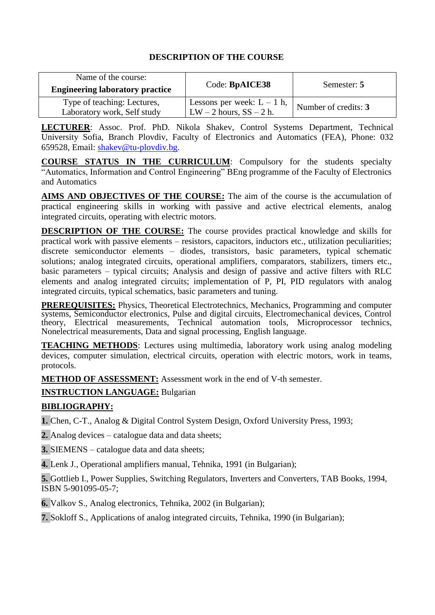| Name of the course:<br><b>Engineering laboratory practice</b> | Code: BpAICE38                                              | Semester: 5          |
|---------------------------------------------------------------|-------------------------------------------------------------|----------------------|
| Type of teaching: Lectures,<br>Laboratory work, Self study    | Lessons per week: $L - 1$ h,<br>$LW - 2$ hours, $SS - 2$ h. | Number of credits: 3 |

**LECTURER**: Assoc. Prof. PhD. Nikola Shakev, Control Systems Department, Technical University Sofia, Branch Plovdiv, Faculty of Electronics and Automatics (FEA), Phone: 032 659528, Email: shakev@tu-plovdi[v.bg.](mailto:r.mishkov@gmail.com)

**COURSE STATUS IN THE CURRICULUM**: Compulsory for the students specialty "Automatics, Information and Control Engineering" BEng programme of the Faculty of Electronics and Automatics

**AIMS AND OBJECTIVES OF THE COURSE:** The aim of the course is the accumulation of practical engineering skills in working with passive and active electrical elements, analog integrated circuits, operating with electric motors.

**DESCRIPTION OF THE COURSE:** The course provides practical knowledge and skills for practical work with passive elements – resistors, capacitors, inductors etc., utilization peculiarities; discrete semiconductor elements – diodes, transistors, basic parameters, typical schematic solutions; analog integrated circuits, operational amplifiers, comparators, stabilizers, timers etc., basic parameters – typical circuits; Analysis and design of passive and active filters with RLC elements and analog integrated circuits; implementation of P, PI, PID regulators with analog integrated circuits, typical schematics, basic parameters and tuning.

**PREREQUISITES:** Physics, Theoretical Electrotechnics, Mechanics, Programming and computer systems, Semiconductor electronics, Pulse and digital circuits, Electromechanical devices, Control theory, Electrical measurements, Technical automation tools, Microprocessor technics, Nonelectrical measurements, Data and signal processing, English language.

**TEACHING METHODS**: Lectures using multimedia, laboratory work using analog modeling devices, computer simulation, electrical circuits, operation with electric motors, work in teams, protocols.

**METHOD OF ASSESSMENT:** Assessment work in the end of V-th semester.

**INSTRUCTION LANGUAGE:** Bulgarian

## **BIBLIOGRAPHY:**

**1.** Chen, C-T., Analog & Digital Control System Design, Oxford University Press, 1993;

**2.** Analog devices – catalogue data and data sheets;

**3.** SIEMENS – catalogue data and data sheets;

**4.** Lenk J., Operational amplifiers manual, Tehnika, 1991 (in Bulgarian);

**5.** Gottlieb I., Power Supplies, Switching Regulators, Inverters and Converters, TAB Books, 1994, ISBN 5-901095-05-7;

**6.** Valkov S., Analog electronics, Tehnika, 2002 (in Bulgarian);

**7.** Sokloff S., Applications of analog integrated circuits, Tehnika, 1990 (in Bulgarian);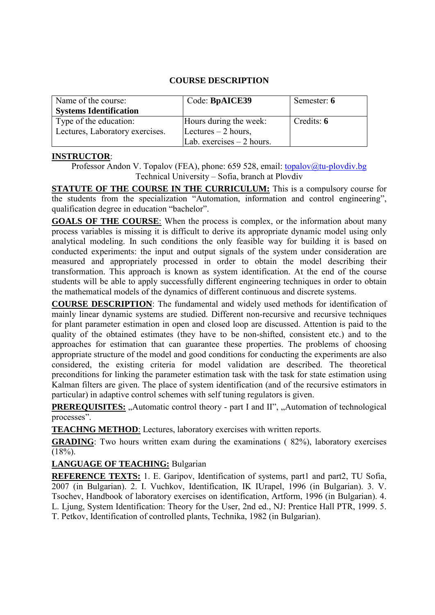#### **COURSE DESCRIPTION**

| Name of the course:             | Code: BpAICE39             | Semester: 6 |
|---------------------------------|----------------------------|-------------|
| <b>Systems Identification</b>   |                            |             |
| Type of the education:          | Hours during the week:     | Credits: 6  |
| Lectures, Laboratory exercises. | Lectures $-2$ hours,       |             |
|                                 | Lab. exercises $-2$ hours. |             |

#### **INSTRUCTOR**:

Professor Andon V. Topalov (FEA), phone: 659 528, email: [topalov@tu-plovdiv.bg](mailto:topalov@tu-plovdiv.bg) Technical University – Sofia, branch at Plovdiv

**STATUTE OF THE COURSE IN THE CURRICULUM:** This is a compulsory course for the students from the specialization "Automation, information and control engineering", qualification degree in education "bachelor".

**GOALS OF THE COURSE**: When the process is complex, or the information about many process variables is missing it is difficult to derive its appropriate dynamic model using only analytical modeling. In such conditions the only feasible way for building it is based on conducted experiments: the input and output signals of the system under consideration are measured and appropriately processed in order to obtain the model describing their transformation. This approach is known as system identification. At the end of the course students will be able to apply successfully different engineering techniques in order to obtain the mathematical models of the dynamics of different continuous and discrete systems.

**COURSE DESCRIPTION**: The fundamental and widely used methods for identification of mainly linear dynamic systems are studied. Different non-recursive and recursive techniques for plant parameter estimation in open and closed loop are discussed. Attention is paid to the quality of the obtained estimates (they have to be non-shifted, consistent etc.) and to the approaches for estimation that can guarantee these properties. The problems of choosing appropriate structure of the model and good conditions for conducting the experiments are also considered, the existing criteria for model validation are described. The theoretical preconditions for linking the parameter estimation task with the task for state estimation using Kalman filters are given. The place of system identification (and of the recursive estimators in particular) in adaptive control schemes with self tuning regulators is given.

**PREREQUISITES:** "Automatic control theory - part I and II", "Automation of technological processes".

**TEACHNG METHOD**: Lectures, laboratory exercises with written reports.

**GRADING**: Two hours written exam during the examinations (82%), laboratory exercises  $(18\%)$ .

#### **LANGUAGE OF TEACHING:** Bulgarian

**REFERENCE TEXTS:** 1. E. Garipov, Identification of systems, part1 and part2, TU Sofia, 2007 (in Bulgarian). 2. I. Vuchkov, Identification, IK IUrapel, 1996 (in Bulgarian). 3. V. Tsochev, Handbook of laboratory exercises on identification, Artform, 1996 (in Bulgarian). 4. L. Ljung, System Identification: Theory for the User, 2nd ed., NJ: Prentice Hall PTR, 1999. 5. T. Petkov, Identification of controlled plants, Technika, 1982 (in Bulgarian).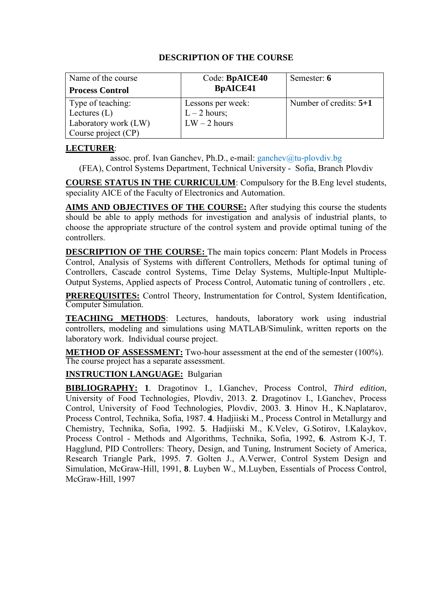| Name of the course<br><b>Process Control</b>                                       | Code: BpAICE40<br><b>BpAICE41</b>                     | Semester: 6              |
|------------------------------------------------------------------------------------|-------------------------------------------------------|--------------------------|
| Type of teaching:<br>Lectures $(L)$<br>Laboratory work (LW)<br>Course project (CP) | Lessons per week:<br>$L - 2$ hours;<br>$LW - 2$ hours | Number of credits: $5+1$ |

#### **LECTURER**:

assoc. prof. Ivan Ganchev, Ph.D., e-mail: [ganchev@tu-plovdiv.bg](mailto:ganchev@tu-plovdiv.bg)

(FEA), Control Systems Department, Technical University - Sofia, Branch Plovdiv

**COURSE STATUS IN THE CURRICULUM**: Compulsory for the B.Eng level students, speciality AICE of the Faculty of Electronics and Automation.

**AIMS AND OBJECTIVES OF THE COURSE:** After studying this course the students should be able to apply methods for investigation and analysis of industrial plants, to choose the appropriate structure of the control system and provide optimal tuning of the controllers.

**DESCRIPTION OF THE COURSE:** The main topics concern: Plant Models in Process Control, Analysis of Systems with different Controllers, Methods for optimal tuning of Controllers, Cascade control Systems, Time Delay Systems, Multiple-Input Multiple-Output Systems, Applied aspects of Process Control, Automatic tuning of controllers , etc.

**PREREQUISITES:** Control Theory, Instrumentation for Control, System Identification, Computer Simulation.

**TEACHING METHODS**: Lectures, handouts, laboratory work using industrial controllers, modeling and simulations using MATLAB/Simulink, written reports on the laboratory work. Individual course project.

**METHOD OF ASSESSMENT:** Two-hour assessment at the end of the semester (100%). The course project has a separate assessment.

#### **INSTRUCTION LANGUAGE:** Bulgarian

**BIBLIOGRAPHY: 1**. Dragotinov I., I.Ganchev, Process Control, *Third edition*, University of Food Technologies, Plovdiv, 2013. **2**. Dragotinov I., I.Ganchev, Process Control, University of Food Technologies, Plovdiv, 2003. **3**. Hinov H., K.Naplatarov, Process Control, Technika, Sofia, 1987. **4**. Hadjiiski M., Process Control in Metallurgy and Chemistry, Technika, Sofia, 1992. **5**. Hadjiiski M., К.Velev, G.Sotirov, I.Kalaykov, Process Control - Methods and Algorithms, Technika, Sofia, 1992, **6**. Astrom K-J, T. Hagglund, PID Controllers: Theory, Design, and Tuning, Instrument Society of America, Research Triangle Park, 1995. **7**. Golten J., A.Verwer, Control System Design and Simulation, McGraw-Hill, 1991, **8**. Luyben W., M.Luyben, Essentials of Process Control, McGraw-Hill, 1997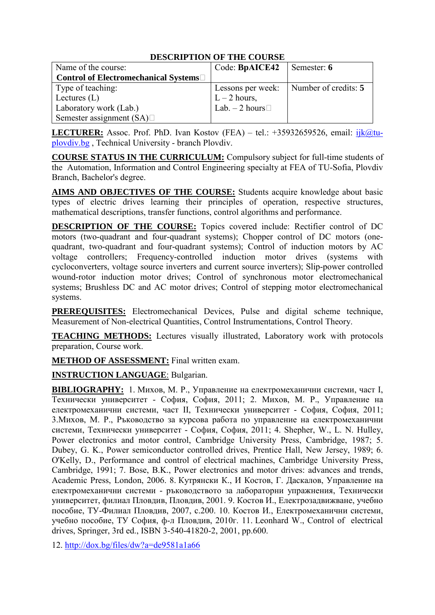|                                       | PERCIMI TION OF THE COUND |                                          |
|---------------------------------------|---------------------------|------------------------------------------|
| Name of the course:                   | Code: BpAICE42            | Semester: 6                              |
| Control of Electromechanical Systems□ |                           |                                          |
| Type of teaching:                     |                           | Lessons per week:   Number of credits: 5 |
| Lectures $(L)$                        | $L - 2$ hours,            |                                          |
| Laboratory work (Lab.)                | Lab. $-2$ hours $\Box$    |                                          |
| Semester assignment $(SA)$            |                           |                                          |

**LECTURER:** Assoc. Prof. PhD. Ivan Kostov (FEA) – tel.:  $+35932659526$ , email:  $ijk@tu$ plovdiv.bg , Technical University - branch Plovdiv.

**COURSE STATUS IN THE CURRICULUM:** Compulsory subject for full-time students of the Automation, Information and Control Engineering specialty at FEA of TU-Sofia, Plovdiv Branch, Bachelor's degree.

**AIMS AND OBJECTIVES OF THE COURSE:** Students acquire knowledge about basic types of electric drives learning their principles of operation, respective structures, mathematical descriptions, transfer functions, control algorithms and performance.

**DESCRIPTION OF THE COURSE:** Topics covered include: Rectifier control of DC motors (two-quadrant and four-quadrant systems); Chopper control of DC motors (onequadrant, two-quadrant and four-quadrant systems); Control of induction motors by AC voltage controllers; Frequency-controlled induction motor drives (systems with cycloconverters, voltage source inverters and current source inverters); Slip-power controlled wound-rotor induction motor drives; Control of synchronous motor electromechanical systems; Brushless DC and AC motor drives; Control of stepping motor electromechanical systems.

**PREREQUISITES:** Electromechanical Devices, Pulse and digital scheme technique, Measurement of Non-electrical Quantities, Control Instrumentations, Control Theory.

**TEACHING METHODS:** Lectures visually illustrated, Laboratory work with protocols preparation, Course work.

**METHOD OF ASSESSMENT:** Final written exam.

**INSTRUCTION LANGUAGE**: Bulgarian.

**BIBLIOGRAPHY:** 1. Михов, М. Р., Управление на електромеханични системи, част I, Технически университет - София, София, 2011; 2. Михов, М. Р., Управление на електромеханични системи, част II, Технически университет - София, София, 2011; 3.Михов, М. Р., Ръководство за курсова работа по управление на електромеханични системи, Технически университет - София, София, 2011; 4. Shepher, W., L. N. Hulley, Power electronics and motor control, Cambridge University Press, Cambridge, 1987; 5. Dubey, G. K., Power semiconductor controlled drives, Prentice Hall, New Jersey, 1989; 6. O'Kelly, D., Performance and control of electrical machines, Cambridge University Press, Cambridge, 1991; 7. Bose, B.K., Power electronics and motor drives: advances and trends, Academic Press, London, 2006. 8. Кутрянски К., И Костов, Г. Даскалов, Управление на електромеханични системи - ръководството за лабораторни упражнения, Технически университет, филиал Пловдив, Пловдив, 2001. 9. Костов И., Електрозадвижване, учебно пособие, ТУ-Филиал Пловдив, 2007, с.200. 10. Костов И., Електромеханични системи, учебно пособие, ТУ София, ф-л Пловдив, 2010г. 11. Leonhard W., Control of electrical drives, Springer, 3rd ed., ISBN 3-540-41820-2, 2001, pp.600.

12.<http://dox.bg/files/dw?a=de9581a1a66>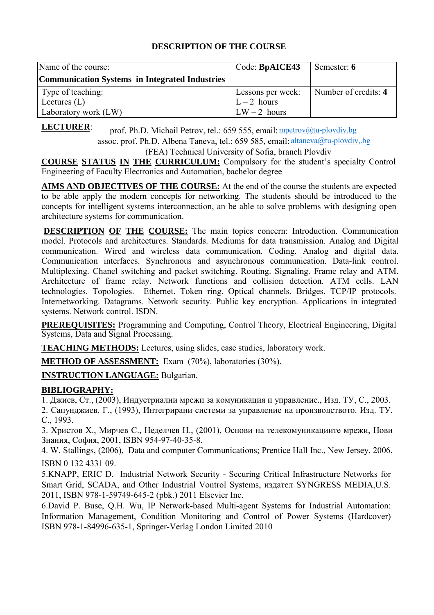| Name of the course:                                   | Code: BpAICE43    | Semester: 6          |
|-------------------------------------------------------|-------------------|----------------------|
| <b>Communication Systems in Integrated Industries</b> |                   |                      |
| Type of teaching:                                     | Lessons per week: | Number of credits: 4 |
| Lectures $(L)$                                        | $L - 2$ hours     |                      |
| Laboratory work (LW)                                  | $LW - 2$ hours    |                      |

**LECTURER**:

prof. Ph.D. Michail Petrov, tel.: 659 555, email: mpetrov@tu-plovdiv.bg assoc. prof. Ph.D. Albena Taneva, tel.: 659 585, email: altaneva@tu-plovdiv,.bg

(FEA) Technical University of Sofia, branch Plovdiv

**COURSE STATUS IN THE CURRICULUM:** Compulsory for the student's specialty Control Engineering of Faculty Electronics and Automation, bachelor degree

**AIMS AND OBJECTIVES OF THE COURSE:** At the end of the course the students are expected to be able apply the modern concepts for networking. The students should be introduced to the concepts for intelligent systems interconnection, an be able to solve problems with designing open architecture systems for communication.

**DESCRIPTION OF THE COURSE:** The main topics concern: Introduction. Communication model. Protocols and architectures. Standards. Mediums for data transmission. Analog and Digital communication. Wired and wireless data communication. Coding. Analog and digital data. Communication interfaces. Synchronous and asynchronous communication. Data-link control. Multiplexing. Chanel switching and packet switching. Routing. Signaling. Frame relay and ATM. Architecture of frame relay. Network functions and collision detection. AТМ cells. LAN technologies. Topologies. Ethernet. Token ring. Optical channels. Bridges. TCP/IP protocols. Internetworking. Datagrams. Network security. Public key encryption. Applications in integrated systems. Network control. ISDN.

**PREREQUISITES:** Programming and Computing, Control Theory, Electrical Engineering, Digital Systems, Data and Signal Processing.

**TEACHING METHODS:** Lectures, using slides, case studies, laboratory work.

**METHOD OF ASSESSMENT:** Exam (70%), laboratories (30%).

**INSTRUCTION LANGUAGE:** Bulgarian.

## **BIBLIOGRAPHY:**

1. Джиев, Ст., (2003), Индустриални мрежи за комуникация и управление., Изд. ТУ, С., 2003.

2. Сапунджиев, Г., (1993), Интегрирани системи за управление на производството. Изд. ТУ, С., 1993.

3. Христов Х., Мирчев С., Неделчев Н., (2001), Основи на телекомуникациите мрежи, Нови Знания, София, 2001, ISBN 954-97-40-35-8.

4. W. Stallings, (2006), Data and computer Communications; Prentice Hall Inc., New Jersey, 2006, ISBN 0 132 4331 09.

5.KNAPP, ERIC D. Industrial Network Security - Securing Critical Infrastructure Networks for Smart Grid, SCADA, and Other Industrial Vontrol Systems, издател SYNGRESS MEDIA,U.S. 2011, ISBN 978-1-59749-645-2 (pbk.) 2011 Elsevier Inc.

6.David P. Buse, Q.H. Wu, IP Network-based Multi-agent Systems for Industrial Automation: Information Management, Condition Monitoring and Control of Power Systems (Hardcover) ISBN 978-1-84996-635-1, Springer-Verlag London Limited 2010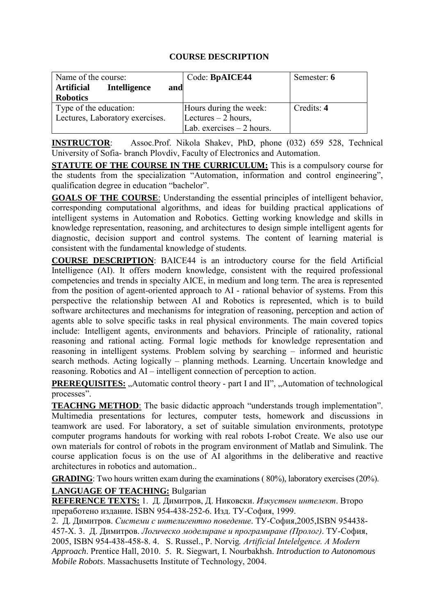## **COURSE DESCRIPTION**

| Name of the course:                      | Code: BpAICE44             | Semester: 6 |
|------------------------------------------|----------------------------|-------------|
| <b>Intelligence</b><br>Artificial<br>and |                            |             |
| <b>Robotics</b>                          |                            |             |
| Type of the education:                   | Hours during the week:     | Credits: 4  |
| Lectures, Laboratory exercises.          | Lectures $-2$ hours,       |             |
|                                          | Lab. exercises $-2$ hours. |             |

**INSTRUCTOR**: Assoc.Prof. Nikola Shakev, PhD, phone (032) 659 528, Technical University of Sofia- branch Plovdiv, Faculty of Electronics and Automation.

**STATUTE OF THE COURSE IN THE CURRICULUM:** This is a compulsory course for the students from the specialization "Automation, information and control engineering", qualification degree in education "bachelor".

**GOALS OF THE COURSE**: Understanding the essential principles of intelligent behavior, corresponding computational algorithms, and ideas for building practical applications of intelligent systems in Automation and Robotics. Getting working knowledge and skills in knowledge representation, reasoning, and architectures to design simple intelligent agents for diagnostic, decision support and control systems. The content of learning material is consistent with the fundamental knowledge of students.

**COURSE DESCRIPTION**: BAICE44 is an introductory course for the field Artificial Intelligence (AI). It offers modern knowledge, consistent with the required professional competencies and trends in specialty AICE, in medium and long term. The area is represented from the position of agent-oriented approach to AI - rational behavior of systems. From this perspective the relationship between AI and Robotics is represented, which is to build software architectures and mechanisms for integration of reasoning, perception and action of agents able to solve specific tasks in real physical environments. The main covered topics include: Intelligent agents, environments and behaviors. Principle of rationality, rational reasoning and rational acting. Formal logic methods for knowledge representation and reasoning in intelligent systems. Problem solving by searching – informed and heuristic search methods. Acting logically – planning methods. Learning. Uncertain knowledge and reasoning. Robotics and AI – intelligent connection of perception to action.

**PREREQUISITES:** "Automatic control theory - part I and II", "Automation of technological processes".

**TEACHNG METHOD**: The basic didactic approach "understands trough implementation". Multimedia presentations for lectures, computer tests, homework and discussions in teamwork are used. For laboratory, a set of suitable simulation environments, prototype computer programs handouts for working with real robots I-robot Create. We also use our own materials for control of robots in the program environment of Matlab and Simulink. The course application focus is on the use of AI algorithms in the deliberative and reactive architectures in robotics and automation..

**GRADING**: Two hours written exam during the examinations (80%), laboratory exercises (20%).

## **LANGUAGE OF TEACHING:** Bulgarian

**REFERENCE TEXTS:** 1. Д. Димитров, Д. Никовски. *Изкуствен интелект*. Второ преработено издание. ISBN 954-438-252-6. Изд. ТУ-София, 1999.

2. Д. Димитров. *Системи с интелигентно поведение*. ТУ-София,2005,ISBN 954438- 457-X. 3. Д. Димитров. *Логическо моделиране и програмиране (Пролог)*. ТУ-София, 2005, ISBN 954-438-458-8. 4. S. Russel., P. Norvig*. Artificial Intelelgence. А Моdern Approach*. Prentice Hall, 2010. 5. R. Siegwart, I. Nourbakhsh. *Introduction to Autonomous Mobile Robots*. Massachusetts Institute of Technology, 2004.